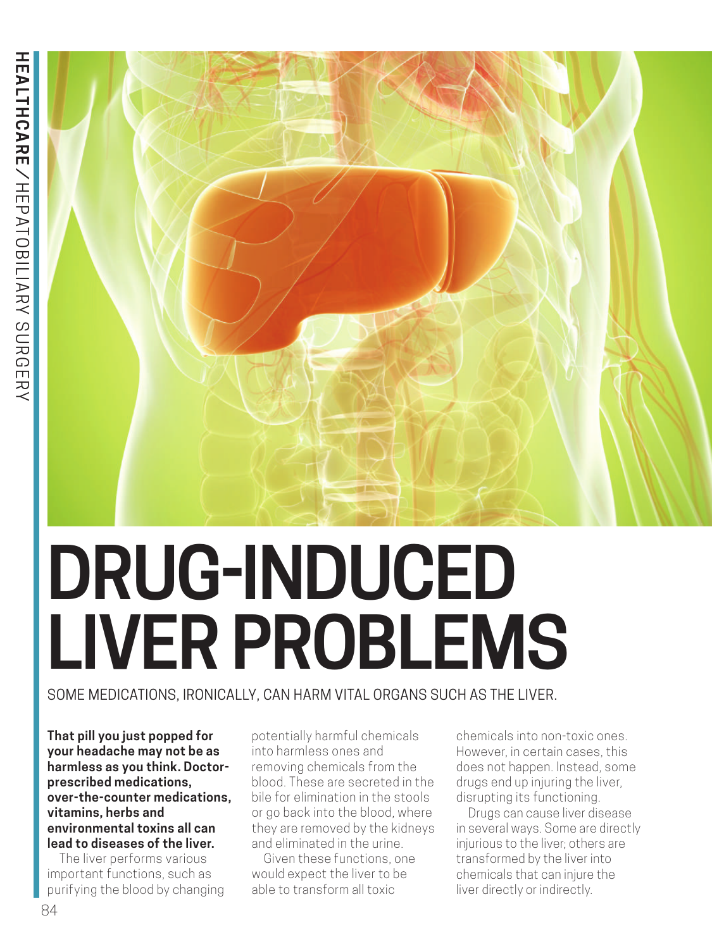

# **DRUG-INDUCED LIVER PROBLEMS**

# SOME MEDICATIONS, IRONICALLY, CAN HARM VITAL ORGANS SUCH AS THE LIVER.

**That pill you just popped for your headache may not be as harmless as you think. Doctorprescribed medications, over-the-counter medications, vitamins, herbs and environmental toxins all can lead to diseases of the liver.**

The liver performs various important functions, such as purifying the blood by changing

potentially harmful chemicals into harmless ones and removing chemicals from the blood. These are secreted in the bile for elimination in the stools or go back into the blood, where they are removed by the kidneys and eliminated in the urine.

Given these functions, one would expect the liver to be able to transform all toxic

chemicals into non-toxic ones. However, in certain cases, this does not happen. Instead, some drugs end up injuring the liver, disrupting its functioning.

Drugs can cause liver disease in several ways. Some are directly injurious to the liver; others are transformed by the liver into chemicals that can injure the liver directly or indirectly.